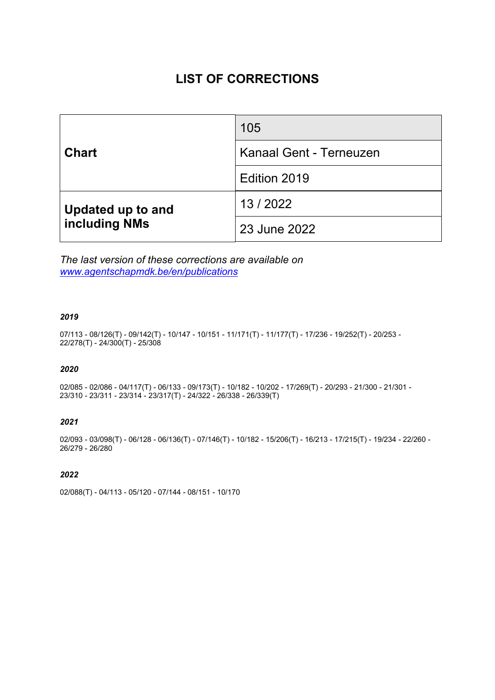# **LIST OF CORRECTIONS**

| <b>Chart</b>                              | 105                            |
|-------------------------------------------|--------------------------------|
|                                           | <b>Kanaal Gent - Terneuzen</b> |
|                                           | Edition 2019                   |
| Updated up to and<br><b>including NMs</b> | 13/2022                        |
|                                           | 23 June 2022                   |

*The last version of these corrections are available on www.agentschapmdk.be/en/publications*

# *2019*

07/113 - 08/126(T) - 09/142(T) - 10/147 - 10/151 - 11/171(T) - 11/177(T) - 17/236 - 19/252(T) - 20/253 - 22/278(T) - 24/300(T) - 25/308

## *2020*

02/085 - 02/086 - 04/117(T) - 06/133 - 09/173(T) - 10/182 - 10/202 - 17/269(T) - 20/293 - 21/300 - 21/301 - 23/310 - 23/311 - 23/314 - 23/317(T) - 24/322 - 26/338 - 26/339(T)

## *2021*

02/093 - 03/098(T) - 06/128 - 06/136(T) - 07/146(T) - 10/182 - 15/206(T) - 16/213 - 17/215(T) - 19/234 - 22/260 - 26/279 - 26/280

# *2022*

02/088(T) - 04/113 - 05/120 - 07/144 - 08/151 - 10/170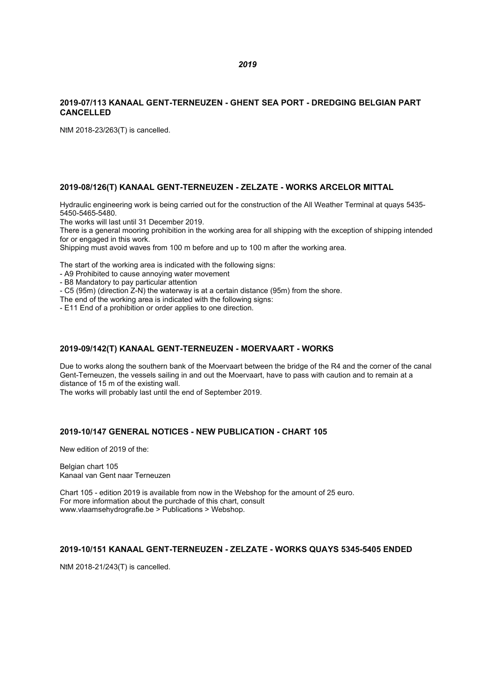# **2019-07/113 KANAAL GENT-TERNEUZEN - GHENT SEA PORT - DREDGING BELGIAN PART CANCELLED**

NtM 2018-23/263(T) is cancelled.

# **2019-08/126(T) KANAAL GENT-TERNEUZEN - ZELZATE - WORKS ARCELOR MITTAL**

Hydraulic engineering work is being carried out for the construction of the All Weather Terminal at quays 5435- 5450-5465-5480.

The works will last until 31 December 2019.

There is a general mooring prohibition in the working area for all shipping with the exception of shipping intended for or engaged in this work.

Shipping must avoid waves from 100 m before and up to 100 m after the working area.

The start of the working area is indicated with the following signs:

- A9 Prohibited to cause annoying water movement

- B8 Mandatory to pay particular attention

- C5 (95m) (direction Z-N) the waterway is at a certain distance (95m) from the shore.

The end of the working area is indicated with the following signs:

- E11 End of a prohibition or order applies to one direction.

#### **2019-09/142(T) KANAAL GENT-TERNEUZEN - MOERVAART - WORKS**

Due to works along the southern bank of the Moervaart between the bridge of the R4 and the corner of the canal Gent-Terneuzen, the vessels sailing in and out the Moervaart, have to pass with caution and to remain at a distance of 15 m of the existing wall.

The works will probably last until the end of September 2019.

### **2019-10/147 GENERAL NOTICES - NEW PUBLICATION - CHART 105**

New edition of 2019 of the:

Belgian chart 105 Kanaal van Gent naar Terneuzen

Chart 105 - edition 2019 is available from now in the Webshop for the amount of 25 euro. For more information about the purchade of this chart, consult www.vlaamsehydrografie.be > Publications > Webshop.

#### **2019-10/151 KANAAL GENT-TERNEUZEN - ZELZATE - WORKS QUAYS 5345-5405 ENDED**

NtM 2018-21/243(T) is cancelled.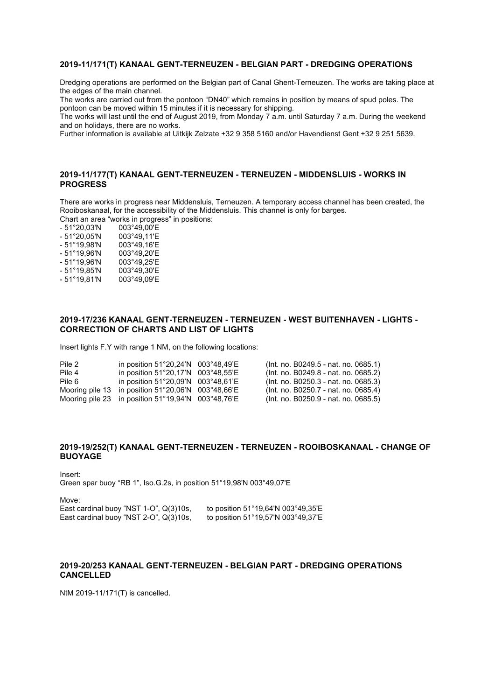#### **2019-11/171(T) KANAAL GENT-TERNEUZEN - BELGIAN PART - DREDGING OPERATIONS**

Dredging operations are performed on the Belgian part of Canal Ghent-Terneuzen. The works are taking place at the edges of the main channel.

The works are carried out from the pontoon "DN40" which remains in position by means of spud poles. The pontoon can be moved within 15 minutes if it is necessary for shipping.

The works will last until the end of August 2019, from Monday 7 a.m. until Saturday 7 a.m. During the weekend and on holidays, there are no works.

Further information is available at Uitkijk Zelzate +32 9 358 5160 and/or Havendienst Gent +32 9 251 5639.

# **2019-11/177(T) KANAAL GENT-TERNEUZEN - TERNEUZEN - MIDDENSLUIS - WORKS IN PROGRESS**

There are works in progress near Middensluis, Terneuzen. A temporary access channel has been created, the Rooiboskanaal, for the accessibility of the Middensluis. This channel is only for barges.

Chart an area "works in progress" in positions:<br>- 51°20,03'N 003°49,00'E

- 51°20,03'N 003°49,00'E
- 51°20,05'N 003°49,11'E
- 51°19,98'N 003°49,16'E  $-51^{\circ}$ 19,96'N
- 
- 51°19,96'N 003°49,25'E
- 51°19,85'N<br>- 51°19,81'N 003°49,09'E

# **2019-17/236 KANAAL GENT-TERNEUZEN - TERNEUZEN - WEST BUITENHAVEN - LIGHTS - CORRECTION OF CHARTS AND LIST OF LIGHTS**

Insert lights F.Y with range 1 NM, on the following locations:

|  | (Int. no. B0249.5 - nat. no. 0685.1)                                                                                                                                                                                                                                                                                                                                  |
|--|-----------------------------------------------------------------------------------------------------------------------------------------------------------------------------------------------------------------------------------------------------------------------------------------------------------------------------------------------------------------------|
|  | (Int. no. B0249.8 - nat. no. 0685.2)                                                                                                                                                                                                                                                                                                                                  |
|  | (Int. no. B0250.3 - nat. no. 0685.3)                                                                                                                                                                                                                                                                                                                                  |
|  | (Int. no. B0250.7 - nat. no. 0685.4)                                                                                                                                                                                                                                                                                                                                  |
|  | (Int. no. B0250.9 - nat. no. 0685.5)                                                                                                                                                                                                                                                                                                                                  |
|  | in position $51^{\circ}20.24^{\prime}N$ 003 $^{\circ}48.49^{\prime}E$<br>in position $51^{\circ}20.17^{\prime}N$ 003 $^{\circ}48.55^{\prime}E$<br>in position $51^{\circ}20.09^{\prime}N$ 003 $^{\circ}48.61^{\prime}E$<br>Mooring pile 13 in position $51^{\circ}20,06^{\prime}N$ 003°48,66'E<br>Mooring pile 23 in position $51^{\circ}19,94^{\prime}N$ 003°48,76'E |

# **2019-19/252(T) KANAAL GENT-TERNEUZEN - TERNEUZEN - ROOIBOSKANAAL - CHANGE OF BUOYAGE**

Insert: Green spar buoy "RB 1", Iso.G.2s, in position 51°19,98'N 003°49,07'E

Move: East cardinal buoy "NST 2-O",  $Q(3)10s$ ,

East cardinal buoy "NST 1-O", Q(3)10s, to position  $51^{\circ}19,64'N$  003°49,35'E<br>East cardinal buoy "NST 2-O", Q(3)10s, to position  $51^{\circ}19.57'N$  003°49.37'E

# **2019-20/253 KANAAL GENT-TERNEUZEN - BELGIAN PART - DREDGING OPERATIONS CANCELLED**

NtM 2019-11/171(T) is cancelled.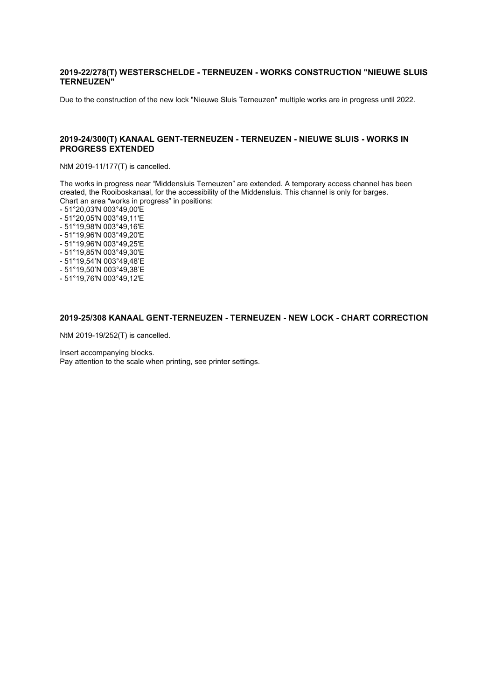### **2019-22/278(T) WESTERSCHELDE - TERNEUZEN - WORKS CONSTRUCTION "NIEUWE SLUIS TERNEUZEN"**

Due to the construction of the new lock "Nieuwe Sluis Terneuzen" multiple works are in progress until 2022.

#### **2019-24/300(T) KANAAL GENT-TERNEUZEN - TERNEUZEN - NIEUWE SLUIS - WORKS IN PROGRESS EXTENDED**

NtM 2019-11/177(T) is cancelled.

The works in progress near "Middensluis Terneuzen" are extended. A temporary access channel has been created, the Rooiboskanaal, for the accessibility of the Middensluis. This channel is only for barges. Chart an area "works in progress" in positions:

- 51°20,03'N 003°49,00'E
- 51°20,05'N 003°49,11'E
- 51°19,98'N 003°49,16'E
- 51°19,96'N 003°49,20'E
- 51°19,96'N 003°49,25'E
- 51°19,85'N 003°49,30'E
- 51°19,54'N 003°49,48'E
- 51°19,50'N 003°49,38'E
- 51°19,76'N 003°49,12'E

#### **2019-25/308 KANAAL GENT-TERNEUZEN - TERNEUZEN - NEW LOCK - CHART CORRECTION**

NtM 2019-19/252(T) is cancelled.

Insert accompanying blocks. Pay attention to the scale when printing, see printer settings.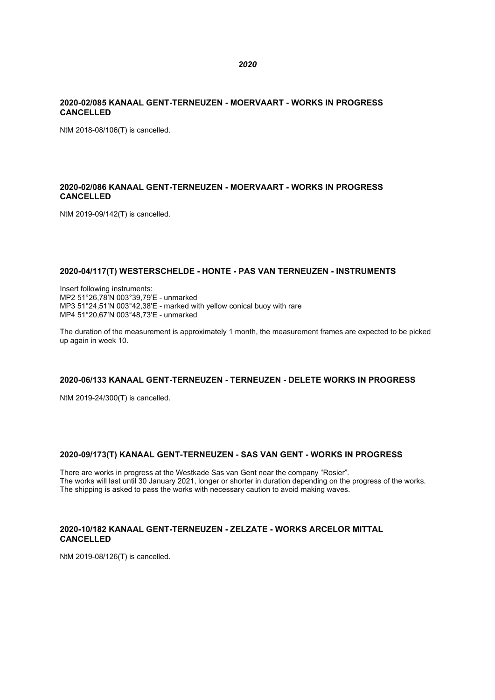# **2020-02/085 KANAAL GENT-TERNEUZEN - MOERVAART - WORKS IN PROGRESS CANCELLED**

NtM 2018-08/106(T) is cancelled.

# **2020-02/086 KANAAL GENT-TERNEUZEN - MOERVAART - WORKS IN PROGRESS CANCELLED**

NtM 2019-09/142(T) is cancelled.

# **2020-04/117(T) WESTERSCHELDE - HONTE - PAS VAN TERNEUZEN - INSTRUMENTS**

Insert following instruments: MP2 51°26,78'N 003°39,79'E - unmarked MP3 51°24,51'N 003°42,38'E - marked with yellow conical buoy with rare MP4 51°20,67'N 003°48,73'E - unmarked

The duration of the measurement is approximately 1 month, the measurement frames are expected to be picked up again in week 10.

# **2020-06/133 KANAAL GENT-TERNEUZEN - TERNEUZEN - DELETE WORKS IN PROGRESS**

NtM 2019-24/300(T) is cancelled.

# **2020-09/173(T) KANAAL GENT-TERNEUZEN - SAS VAN GENT - WORKS IN PROGRESS**

There are works in progress at the Westkade Sas van Gent near the company "Rosier". The works will last until 30 January 2021, longer or shorter in duration depending on the progress of the works. The shipping is asked to pass the works with necessary caution to avoid making waves.

# **2020-10/182 KANAAL GENT-TERNEUZEN - ZELZATE - WORKS ARCELOR MITTAL CANCELLED**

NtM 2019-08/126(T) is cancelled.

#### *2020*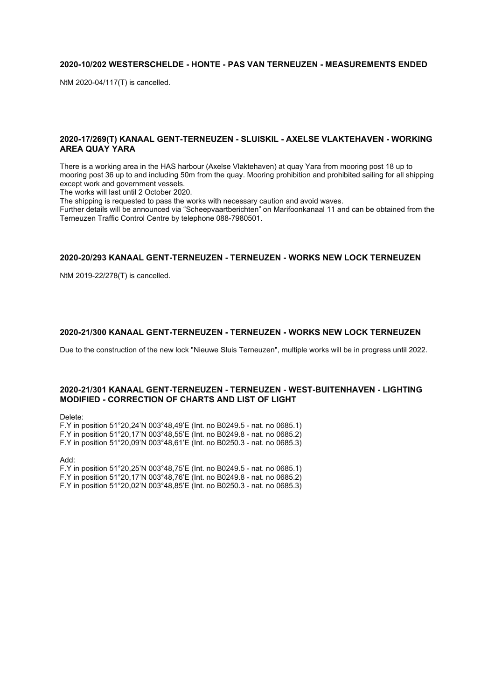# **2020-10/202 WESTERSCHELDE - HONTE - PAS VAN TERNEUZEN - MEASUREMENTS ENDED**

NtM 2020-04/117(T) is cancelled.

#### **2020-17/269(T) KANAAL GENT-TERNEUZEN - SLUISKIL - AXELSE VLAKTEHAVEN - WORKING AREA QUAY YARA**

There is a working area in the HAS harbour (Axelse Vlaktehaven) at quay Yara from mooring post 18 up to mooring post 36 up to and including 50m from the quay. Mooring prohibition and prohibited sailing for all shipping except work and government vessels.

The works will last until 2 October 2020.

The shipping is requested to pass the works with necessary caution and avoid waves.

Further details will be announced via "Scheepvaartberichten" on Marifoonkanaal 11 and can be obtained from the Terneuzen Traffic Control Centre by telephone 088-7980501.

#### **2020-20/293 KANAAL GENT-TERNEUZEN - TERNEUZEN - WORKS NEW LOCK TERNEUZEN**

NtM 2019-22/278(T) is cancelled.

#### **2020-21/300 KANAAL GENT-TERNEUZEN - TERNEUZEN - WORKS NEW LOCK TERNEUZEN**

Due to the construction of the new lock "Nieuwe Sluis Terneuzen", multiple works will be in progress until 2022.

#### **2020-21/301 KANAAL GENT-TERNEUZEN - TERNEUZEN - WEST-BUITENHAVEN - LIGHTING MODIFIED - CORRECTION OF CHARTS AND LIST OF LIGHT**

Delete:

F.Y in position 51°20,24'N 003°48,49'E (Int. no B0249.5 - nat. no 0685.1) F.Y in position 51°20,17'N 003°48,55'E (Int. no B0249.8 - nat. no 0685.2) F.Y in position 51°20,09'N 003°48,61'E (Int. no B0250.3 - nat. no 0685.3)

Add:

F.Y in position 51°20,25'N 003°48,75'E (Int. no B0249.5 - nat. no 0685.1) F.Y in position 51°20,17'N 003°48,76'E (Int. no B0249.8 - nat. no 0685.2) F.Y in position 51°20,02'N 003°48,85'E (Int. no B0250.3 - nat. no 0685.3)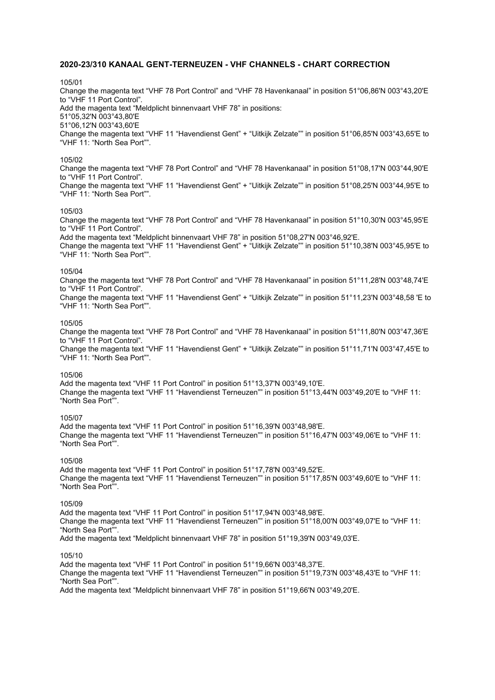#### **2020-23/310 KANAAL GENT-TERNEUZEN - VHF CHANNELS - CHART CORRECTION**

#### 105/01

Change the magenta text "VHF 78 Port Control" and "VHF 78 Havenkanaal" in position 51°06,86'N 003°43,20'E to "VHF 11 Port Control". Add the magenta text "Meldplicht binnenvaart VHF 78" in positions: 51°05,32'N 003°43,80'E 51°06,12'N 003°43,60'E Change the magenta text "VHF 11 "Havendienst Gent" + "Uitkijk Zelzate"" in position 51°06,85'N 003°43,65'E to "VHF 11: "North Sea Port"".

#### 105/02

Change the magenta text "VHF 78 Port Control" and "VHF 78 Havenkanaal" in position 51°08,17'N 003°44,90'E to "VHF 11 Port Control".

Change the magenta text "VHF 11 "Havendienst Gent" + "Uitkijk Zelzate"" in position 51°08,25'N 003°44,95'E to "VHF 11: "North Sea Port"".

#### 105/03

Change the magenta text "VHF 78 Port Control" and "VHF 78 Havenkanaal" in position 51°10,30'N 003°45,95'E to "VHF 11 Port Control".

Add the magenta text "Meldplicht binnenvaart VHF 78" in position 51°08,27'N 003°46,92'E.

Change the magenta text "VHF 11 "Havendienst Gent" + "Uitkijk Zelzate"" in position 51°10,38'N 003°45,95'E to "VHF 11: "North Sea Port"".

#### 105/04

Change the magenta text "VHF 78 Port Control" and "VHF 78 Havenkanaal" in position 51°11,28'N 003°48,74'E to "VHF 11 Port Control".

Change the magenta text "VHF 11 "Havendienst Gent" + "Uitkijk Zelzate"" in position 51°11,23'N 003°48,58 'E to "VHF 11: "North Sea Port"".

# 105/05

Change the magenta text "VHF 78 Port Control" and "VHF 78 Havenkanaal" in position 51°11,80'N 003°47,36'E to "VHF 11 Port Control".

Change the magenta text "VHF 11 "Havendienst Gent" + "Uitkijk Zelzate"" in position 51°11,71'N 003°47,45'E to "VHF 11: "North Sea Port"".

#### 105/06

Add the magenta text "VHF 11 Port Control" in position 51°13,37'N 003°49,10'E. Change the magenta text "VHF 11 "Havendienst Terneuzen"" in position 51°13,44'N 003°49,20'E to "VHF 11: "North Sea Port"".

#### 105/07

Add the magenta text "VHF 11 Port Control" in position 51°16,39'N 003°48,98'E. Change the magenta text "VHF 11 "Havendienst Terneuzen"" in position 51°16,47'N 003°49,06'E to "VHF 11: "North Sea Port"".

#### 105/08

Add the magenta text "VHF 11 Port Control" in position 51°17,78'N 003°49,52'E. Change the magenta text "VHF 11 "Havendienst Terneuzen"" in position 51°17,85'N 003°49,60'E to "VHF 11: "North Sea Port"".

#### 105/09

Add the magenta text "VHF 11 Port Control" in position 51°17,94'N 003°48,98'E. Change the magenta text "VHF 11 "Havendienst Terneuzen"" in position 51°18,00'N 003°49,07'E to "VHF 11: "North Sea Port"".

Add the magenta text "Meldplicht binnenvaart VHF 78" in position 51°19,39'N 003°49,03'E.

#### 105/10

Add the magenta text "VHF 11 Port Control" in position 51°19,66'N 003°48,37'E. Change the magenta text "VHF 11 "Havendienst Terneuzen"" in position 51°19,73'N 003°48,43'E to "VHF 11: "North Sea Port"". Add the magenta text "Meldplicht binnenvaart VHF 78" in position 51°19,66'N 003°49,20'E.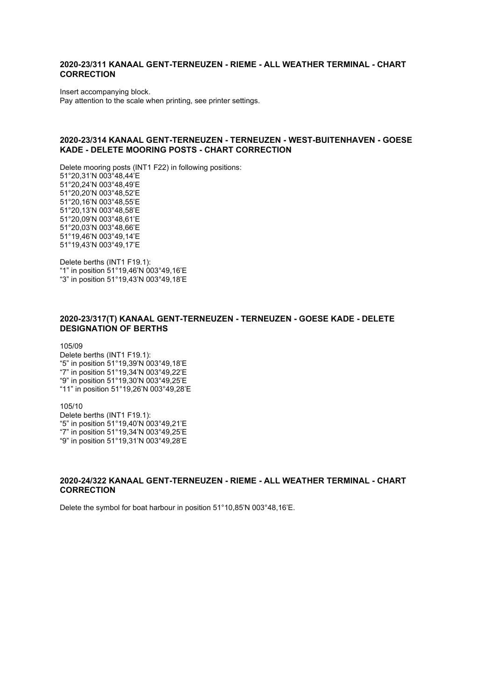# **2020-23/311 KANAAL GENT-TERNEUZEN - RIEME - ALL WEATHER TERMINAL - CHART CORRECTION**

Insert accompanying block.

Pay attention to the scale when printing, see printer settings.

#### **2020-23/314 KANAAL GENT-TERNEUZEN - TERNEUZEN - WEST-BUITENHAVEN - GOESE KADE - DELETE MOORING POSTS - CHART CORRECTION**

Delete mooring posts (INT1 F22) in following positions: 51°20,31'N 003°48,44'E 51°20,24'N 003°48,49'E 51°20,20'N 003°48,52'E 51°20,16'N 003°48,55'E 51°20,13'N 003°48,58'E 51°20,09'N 003°48,61'E 51°20,03'N 003°48,66'E 51°19,46'N 003°49,14'E 51°19,43'N 003°49,17'E

Delete berths (INT1 F19.1): "1" in position 51°19,46'N 003°49,16'E "3" in position 51°19,43'N 003°49,18'E

## **2020-23/317(T) KANAAL GENT-TERNEUZEN - TERNEUZEN - GOESE KADE - DELETE DESIGNATION OF BERTHS**

105/09

Delete berths (INT1 F19.1): "5" in position 51°19,39'N 003°49,18'E "7" in position 51°19,34'N 003°49,22'E "9" in position 51°19,30'N 003°49,25'E "11" in position 51°19,26'N 003°49,28'E

105/10 Delete berths (INT1 F19.1): "5" in position 51°19,40'N 003°49,21'E "7" in position 51°19,34'N 003°49,25'E "9" in position 51°19,31'N 003°49,28'E

# **2020-24/322 KANAAL GENT-TERNEUZEN - RIEME - ALL WEATHER TERMINAL - CHART CORRECTION**

Delete the symbol for boat harbour in position 51°10,85'N 003°48,16'E.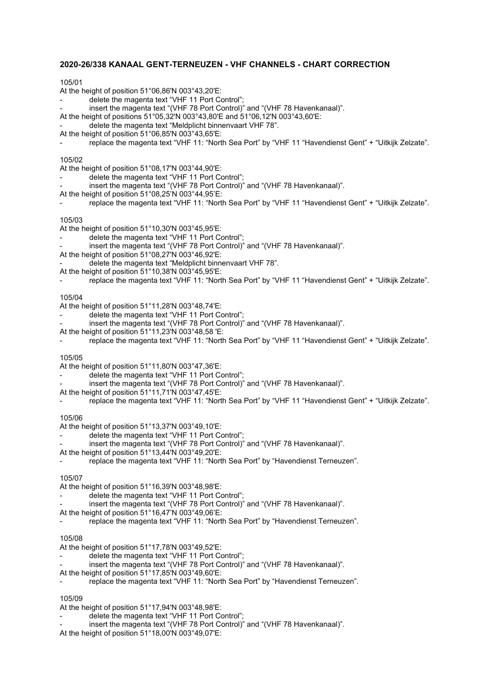# **2020-26/338 KANAAL GENT-TERNEUZEN - VHF CHANNELS - CHART CORRECTION**

#### 105/01

- At the height of position 51°06,86'N 003°43,20'E:
- delete the magenta text "VHF 11 Port Control";
- insert the magenta text "(VHF 78 Port Control)" and "(VHF 78 Havenkanaal)".
- At the height of positions 51°05,32'N 003°43,80'E and 51°06,12'N 003°43,60'E:
- delete the magenta text "Meldplicht binnenvaart VHF 78".
- At the height of position 51°06,85'N 003°43,65'E:
- replace the magenta text "VHF 11: "North Sea Port" by "VHF 11 "Havendienst Gent" + "Uitkijk Zelzate".

#### 105/02

- At the height of position 51°08,17'N 003°44,90'E:
- delete the magenta text "VHF 11 Port Control";
- insert the magenta text "(VHF 78 Port Control)" and "(VHF 78 Havenkanaal)".
- At the height of position 51°08,25'N 003°44,95'E:
- replace the magenta text "VHF 11: "North Sea Port" by "VHF 11 "Havendienst Gent" + "Uitkijk Zelzate".

#### 105/03

- At the height of position 51°10,30'N 003°45,95'E:
- delete the magenta text "VHF 11 Port Control";
- insert the magenta text "(VHF 78 Port Control)" and "(VHF 78 Havenkanaal)".
- At the height of position 51°08,27'N 003°46,92'E:
- delete the magenta text "Meldplicht binnenvaart VHF 78".
- At the height of position 51°10,38'N 003°45,95'E:
- replace the magenta text "VHF 11: "North Sea Port" by "VHF 11 "Havendienst Gent" + "Uitkijk Zelzate".

#### 105/04

- At the height of position 51°11,28'N 003°48,74'E:
- delete the magenta text "VHF 11 Port Control";
- insert the magenta text "(VHF 78 Port Control)" and "(VHF 78 Havenkanaal)".
- At the height of position 51°11,23'N 003°48,58 'E:
- replace the magenta text "VHF 11: "North Sea Port" by "VHF 11 "Havendienst Gent" + "Uitkijk Zelzate".

#### 105/05

- At the height of position 51°11,80'N 003°47,36'E:
- delete the magenta text "VHF 11 Port Control";
- insert the magenta text "(VHF 78 Port Control)" and "(VHF 78 Havenkanaal)".
- At the height of position 51°11,71'N 003°47,45'E:
- replace the magenta text "VHF 11: "North Sea Port" by "VHF 11 "Havendienst Gent" + "Uitkijk Zelzate".

#### 105/06

- At the height of position 51°13,37'N 003°49,10'E:
- delete the magenta text "VHF 11 Port Control";
- insert the magenta text "(VHF 78 Port Control)" and "(VHF 78 Havenkanaal)".
- At the height of position 51°13,44'N 003°49,20'E:
- replace the magenta text "VHF 11: "North Sea Port" by "Havendienst Terneuzen".

#### 105/07

At the height of position 51°16,39'N 003°48,98'E:

- delete the magenta text "VHF 11 Port Control";
- insert the magenta text "(VHF 78 Port Control)" and "(VHF 78 Havenkanaal)".
- At the height of position 51°16,47'N 003°49,06'E:
- replace the magenta text "VHF 11: "North Sea Port" by "Havendienst Terneuzen".

#### 105/08

At the height of position 51°17,78'N 003°49,52'E:

- delete the magenta text "VHF 11 Port Control";
- insert the magenta text "(VHF 78 Port Control)" and "(VHF 78 Havenkanaal)".
- At the height of position 51°17,85'N 003°49,60'E:
	- replace the magenta text "VHF 11: "North Sea Port" by "Havendienst Terneuzen".

#### 105/09

At the height of position 51°17,94'N 003°48,98'E:

- delete the magenta text "VHF 11 Port Control";
- insert the magenta text "(VHF 78 Port Control)" and "(VHF 78 Havenkanaal)".

At the height of position 51°18,00'N 003°49,07'E: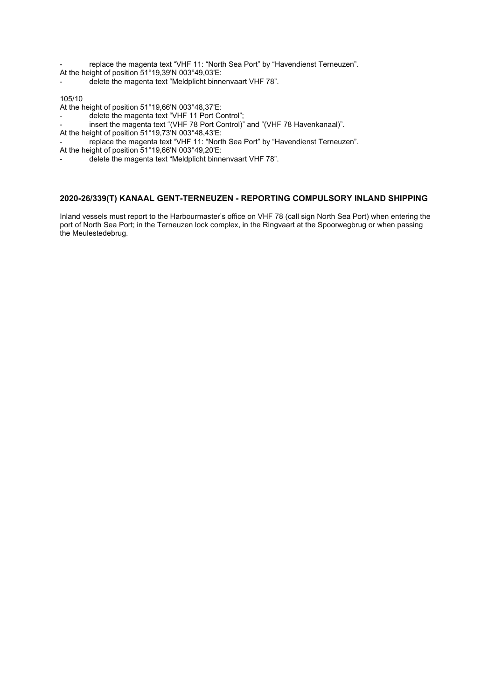replace the magenta text "VHF 11: "North Sea Port" by "Havendienst Terneuzen".

- At the height of position 51°19,39'N 003°49,03'E:
- delete the magenta text "Meldplicht binnenvaart VHF 78".

# 105/10

At the height of position 51°19,66'N 003°48,37'E:

- delete the magenta text "VHF 11 Port Control";
- insert the magenta text "(VHF 78 Port Control)" and "(VHF 78 Havenkanaal)".
- At the height of position 51°19,73'N 003°48,43'E:
- replace the magenta text "VHF 11: "North Sea Port" by "Havendienst Terneuzen".

At the height of position 51°19,66'N 003°49,20'E:

delete the magenta text "Meldplicht binnenvaart VHF 78".

# **2020-26/339(T) KANAAL GENT-TERNEUZEN - REPORTING COMPULSORY INLAND SHIPPING**

Inland vessels must report to the Harbourmaster's office on VHF 78 (call sign North Sea Port) when entering the port of North Sea Port; in the Terneuzen lock complex, in the Ringvaart at the Spoorwegbrug or when passing the Meulestedebrug.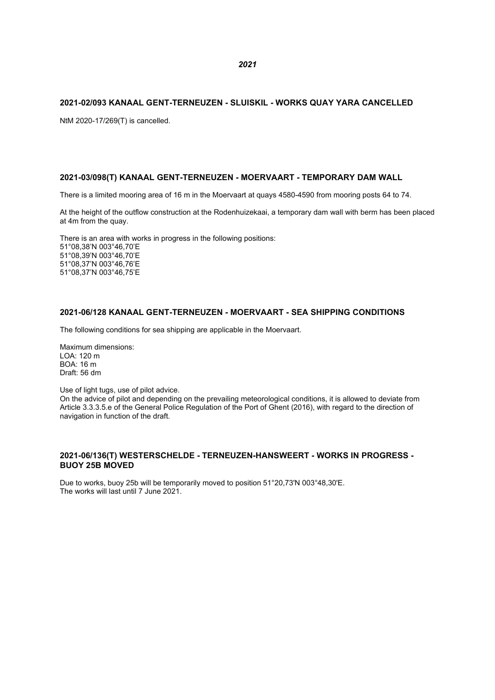#### **2021-02/093 KANAAL GENT-TERNEUZEN - SLUISKIL - WORKS QUAY YARA CANCELLED**

NtM 2020-17/269(T) is cancelled.

# **2021-03/098(T) KANAAL GENT-TERNEUZEN - MOERVAART - TEMPORARY DAM WALL**

There is a limited mooring area of 16 m in the Moervaart at quays 4580-4590 from mooring posts 64 to 74.

At the height of the outflow construction at the Rodenhuizekaai, a temporary dam wall with berm has been placed at 4m from the quay.

There is an area with works in progress in the following positions: 51°08,38'N 003°46,70'E 51°08,39'N 003°46,70'E 51°08,37'N 003°46,76'E 51°08,37'N 003°46,75'E

# **2021-06/128 KANAAL GENT-TERNEUZEN - MOERVAART - SEA SHIPPING CONDITIONS**

The following conditions for sea shipping are applicable in the Moervaart.

Maximum dimensions: LOA: 120 m BOA: 16 m Draft: 56 dm

Use of light tugs, use of pilot advice.

On the advice of pilot and depending on the prevailing meteorological conditions, it is allowed to deviate from Article 3.3.3.5.e of the General Police Regulation of the Port of Ghent (2016), with regard to the direction of navigation in function of the draft.

#### **2021-06/136(T) WESTERSCHELDE - TERNEUZEN-HANSWEERT - WORKS IN PROGRESS - BUOY 25B MOVED**

Due to works, buoy 25b will be temporarily moved to position 51°20,73'N 003°48,30'E. The works will last until 7 June 2021.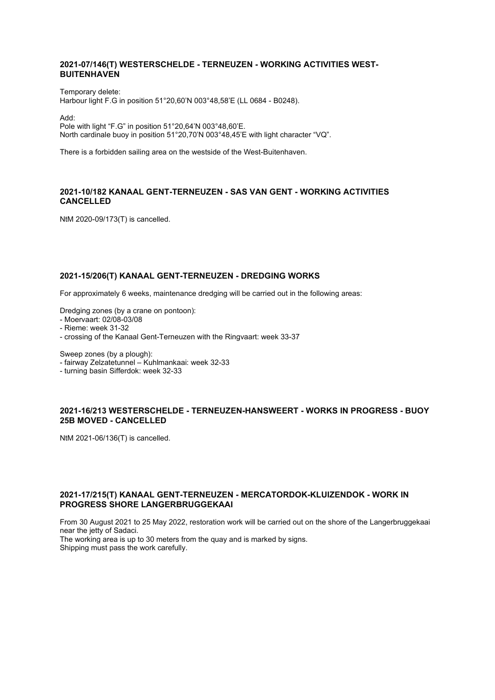# **2021-07/146(T) WESTERSCHELDE - TERNEUZEN - WORKING ACTIVITIES WEST-BUITENHAVEN**

Temporary delete: Harbour light F.G in position 51°20,60'N 003°48,58'E (LL 0684 - B0248).

Add:

Pole with light "F.G" in position 51°20,64'N 003°48,60'E. North cardinale buoy in position 51°20,70'N 003°48,45'E with light character "VQ".

There is a forbidden sailing area on the westside of the West-Buitenhaven.

# **2021-10/182 KANAAL GENT-TERNEUZEN - SAS VAN GENT - WORKING ACTIVITIES CANCELLED**

NtM 2020-09/173(T) is cancelled.

# **2021-15/206(T) KANAAL GENT-TERNEUZEN - DREDGING WORKS**

For approximately 6 weeks, maintenance dredging will be carried out in the following areas:

Dredging zones (by a crane on pontoon):

- Moervaart: 02/08-03/08
- Rieme: week 31-32
- crossing of the Kanaal Gent-Terneuzen with the Ringvaart: week 33-37

Sweep zones (by a plough):

- fairway Zelzatetunnel – Kuhlmankaai: week 32-33

- turning basin Sifferdok: week 32-33

# **2021-16/213 WESTERSCHELDE - TERNEUZEN-HANSWEERT - WORKS IN PROGRESS - BUOY 25B MOVED - CANCELLED**

NtM 2021-06/136(T) is cancelled.

# **2021-17/215(T) KANAAL GENT-TERNEUZEN - MERCATORDOK-KLUIZENDOK - WORK IN PROGRESS SHORE LANGERBRUGGEKAAI**

From 30 August 2021 to 25 May 2022, restoration work will be carried out on the shore of the Langerbruggekaai near the jetty of Sadaci.

The working area is up to 30 meters from the quay and is marked by signs. Shipping must pass the work carefully.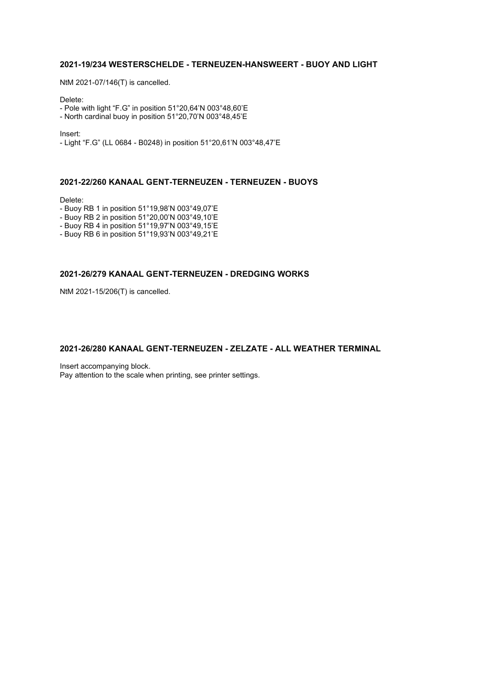# **2021-19/234 WESTERSCHELDE - TERNEUZEN-HANSWEERT - BUOY AND LIGHT**

NtM 2021-07/146(T) is cancelled.

Delete:

- Pole with light "F.G" in position 51°20,64'N 003°48,60'E

- North cardinal buoy in position 51°20,70'N 003°48,45'E

Insert:

- Light "F.G" (LL 0684 - B0248) in position 51°20,61'N 003°48,47'E

#### **2021-22/260 KANAAL GENT-TERNEUZEN - TERNEUZEN - BUOYS**

Delete:

- Buoy RB 1 in position 51°19,98'N 003°49,07'E
- Buoy RB 2 in position 51°20,00'N 003°49,10'E
- Buoy RB 4 in position 51°19,97'N 003°49,15'E
- Buoy RB 6 in position 51°19,93'N 003°49,21'E

# **2021-26/279 KANAAL GENT-TERNEUZEN - DREDGING WORKS**

NtM 2021-15/206(T) is cancelled.

# **2021-26/280 KANAAL GENT-TERNEUZEN - ZELZATE - ALL WEATHER TERMINAL**

Insert accompanying block. Pay attention to the scale when printing, see printer settings.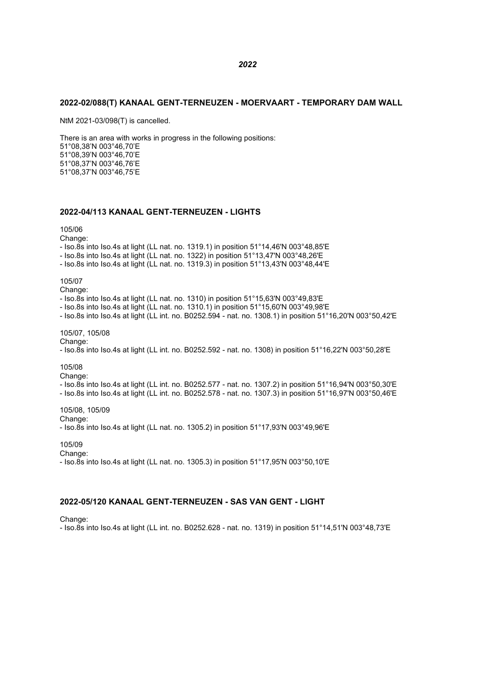#### **2022-02/088(T) KANAAL GENT-TERNEUZEN - MOERVAART - TEMPORARY DAM WALL**

NtM 2021-03/098(T) is cancelled.

There is an area with works in progress in the following positions: 51°08,38'N 003°46,70'E 51°08,39'N 003°46,70'E 51°08,37'N 003°46,76'E 51°08,37'N 003°46,75'E

# **2022-04/113 KANAAL GENT-TERNEUZEN - LIGHTS**

#### 105/06

Change:

- Iso.8s into Iso.4s at light (LL nat. no. 1319.1) in position 51°14,46'N 003°48,85'E

- Iso.8s into Iso.4s at light (LL nat. no. 1322) in position 51°13,47'N 003°48,26'E

- Iso.8s into Iso.4s at light (LL nat. no. 1319.3) in position 51°13,43'N 003°48,44'E

105/07

Change:

- Iso.8s into Iso.4s at light (LL nat. no. 1310) in position 51°15,63'N 003°49,83'E

- Iso.8s into Iso.4s at light (LL nat. no. 1310.1) in position 51°15,60'N 003°49,98'E

- Iso.8s into Iso.4s at light (LL int. no. B0252.594 - nat. no. 1308.1) in position 51°16,20'N 003°50,42'E

#### 105/07, 105/08

Change:

- Iso.8s into Iso.4s at light (LL int. no. B0252.592 - nat. no. 1308) in position 51°16,22'N 003°50,28'E

105/08

Change:

- Iso.8s into Iso.4s at light (LL int. no. B0252.577 - nat. no. 1307.2) in position 51°16,94'N 003°50,30'E - Iso.8s into Iso.4s at light (LL int. no. B0252.578 - nat. no. 1307.3) in position 51°16,97'N 003°50,46'E

105/08, 105/09

Change:

- Iso.8s into Iso.4s at light (LL nat. no. 1305.2) in position 51°17,93'N 003°49,96'E

105/09

Change:

- Iso.8s into Iso.4s at light (LL nat. no. 1305.3) in position 51°17,95'N 003°50,10'E

#### **2022-05/120 KANAAL GENT-TERNEUZEN - SAS VAN GENT - LIGHT**

Change:

- Iso.8s into Iso.4s at light (LL int. no. B0252.628 - nat. no. 1319) in position 51°14,51'N 003°48,73'E